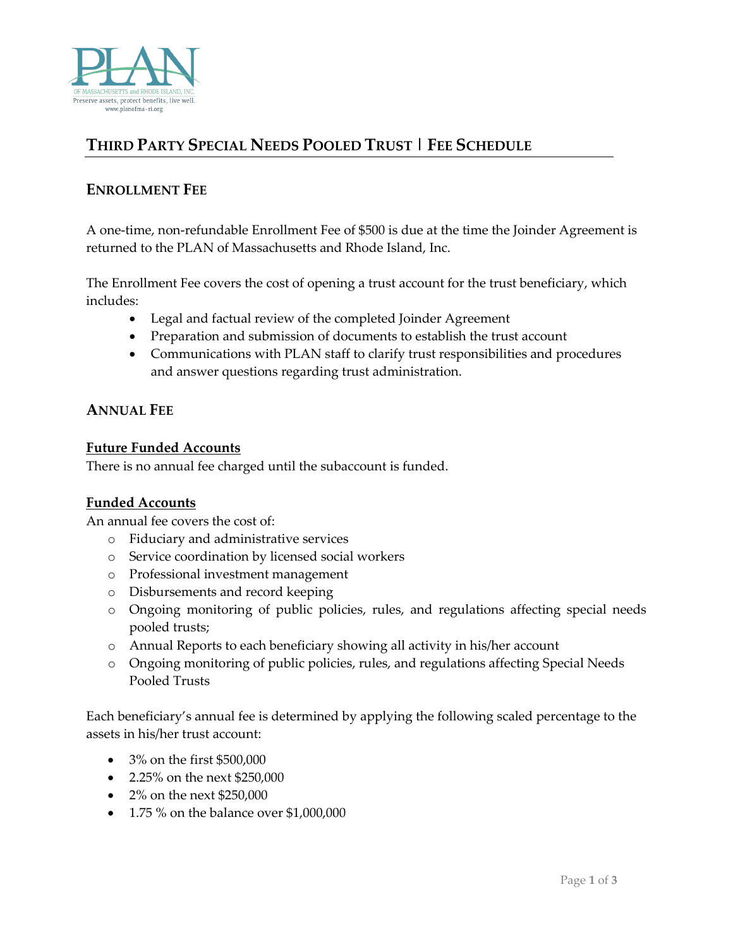

# **THIRD PARTY SPECIAL NEEDS POOLED TRUST | FEE SCHEDULE**

# **ENROLLMENT FEE**

A one-time, non-refundable Enrollment Fee of \$500 is due at the time the Joinder Agreement is returned to the PLAN of Massachusetts and Rhode Island, Inc.

The Enrollment Fee covers the cost of opening a trust account for the trust beneficiary, which includes:

- Legal and factual review of the completed Joinder Agreement
- Preparation and submission of documents to establish the trust account
- Communications with PLAN staff to clarify trust responsibilities and procedures and answer questions regarding trust administration.

### **ANNUAL FEE**

#### **Future Funded Accounts**

There is no annual fee charged until the subaccount is funded.

#### **Funded Accounts**

An annual fee covers the cost of:

- o Fiduciary and administrative services
- o Service coordination by licensed social workers
- o Professional investment management
- o Disbursements and record keeping
- o Ongoing monitoring of public policies, rules, and regulations affecting special needs pooled trusts;
- o Annual Reports to each beneficiary showing all activity in his/her account
- o Ongoing monitoring of public policies, rules, and regulations affecting Special Needs Pooled Trusts

Each beneficiary's annual fee is determined by applying the following scaled percentage to the assets in his/her trust account:

- 3% on the first \$500,000
- 2.25% on the next \$250,000
- 2% on the next \$250,000
- 1.75 % on the balance over \$1,000,000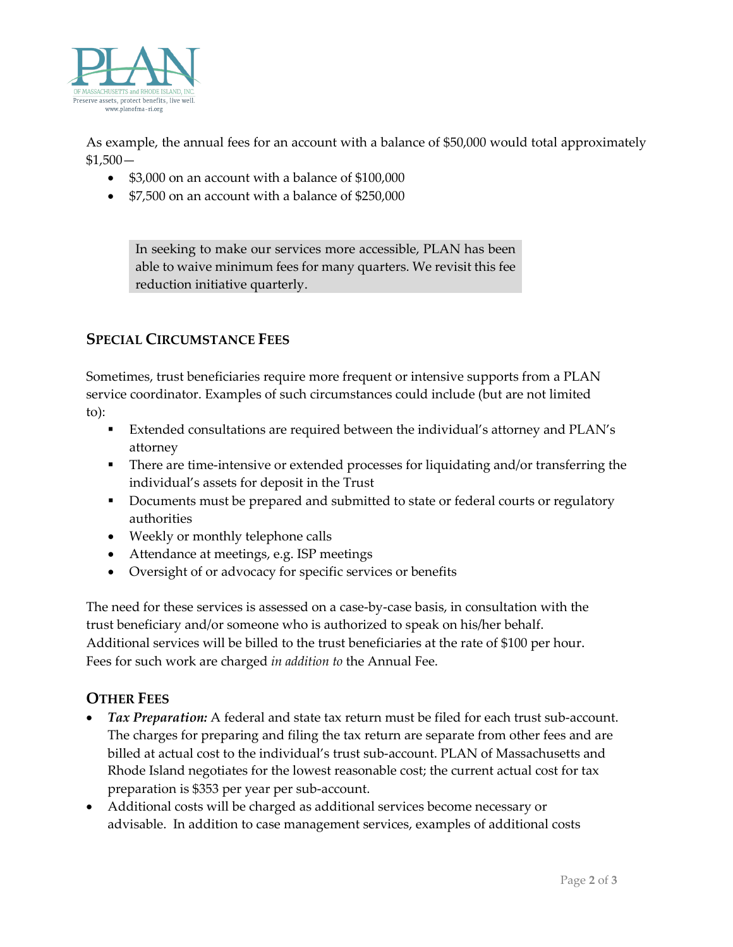

As example, the annual fees for an account with a balance of \$50,000 would total approximately  $$1,500-$ 

- \$3,000 on an account with a balance of \$100,000
- \$7,500 on an account with a balance of \$250,000

In seeking to make our services more accessible, PLAN has been able to waive minimum fees for many quarters. We revisit this fee reduction initiative quarterly.

# **SPECIAL CIRCUMSTANCE FEES**

Sometimes, trust beneficiaries require more frequent or intensive supports from a PLAN service coordinator. Examples of such circumstances could include (but are not limited to):

- Extended consultations are required between the individual's attorney and PLAN's attorney
- **There are time-intensive or extended processes for liquidating and/or transferring the** individual's assets for deposit in the Trust
- Documents must be prepared and submitted to state or federal courts or regulatory authorities
- Weekly or monthly telephone calls
- Attendance at meetings, e.g. ISP meetings
- Oversight of or advocacy for specific services or benefits

The need for these services is assessed on a case-by-case basis, in consultation with the trust beneficiary and/or someone who is authorized to speak on his/her behalf. Additional services will be billed to the trust beneficiaries at the rate of \$100 per hour. Fees for such work are charged *in addition to* the Annual Fee.

## **OTHER FEES**

- *Tax Preparation:* A federal and state tax return must be filed for each trust sub-account. The charges for preparing and filing the tax return are separate from other fees and are billed at actual cost to the individual's trust sub-account. PLAN of Massachusetts and Rhode Island negotiates for the lowest reasonable cost; the current actual cost for tax preparation is \$353 per year per sub-account.
- Additional costs will be charged as additional services become necessary or advisable. In addition to case management services, examples of additional costs